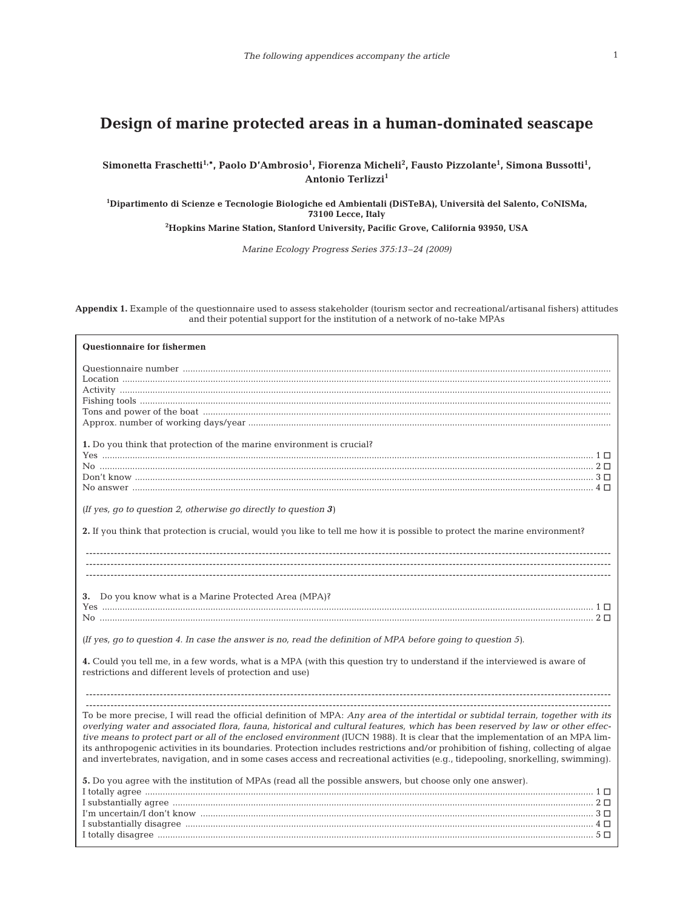## **Design of marine protected areas in a human-dominated seascape**

**Simonetta Fraschetti1,\*, Paolo D'Ambrosio1 , Fiorenza Micheli2 , Fausto Pizzolante1 , Simona Bussotti1 , Antonio Terlizzi<sup>1</sup>**

**1 Dipartimento di Scienze e Tecnologie Biologiche ed Ambientali (DiSTeBA), Università del Salento, CoNISMa, 73100 Lecce, Italy**

**2 Hopkins Marine Station, Stanford University, Pacific Grove, California 93950, USA**

*Marine Ecology Progress Series 375:13–24 (2009)*

**Appendix 1.** Example of the questionnaire used to assess stakeholder (tourism sector and recreational/artisanal fishers) attitudes and their potential support for the institution of a network of no-take MPAs

| Questionnaire for fishermen                                                                                                                                                                                                                                                                                                                                                                                                                                                                                                                                                                                                                                                   |
|-------------------------------------------------------------------------------------------------------------------------------------------------------------------------------------------------------------------------------------------------------------------------------------------------------------------------------------------------------------------------------------------------------------------------------------------------------------------------------------------------------------------------------------------------------------------------------------------------------------------------------------------------------------------------------|
|                                                                                                                                                                                                                                                                                                                                                                                                                                                                                                                                                                                                                                                                               |
| 1. Do you think that protection of the marine environment is crucial?                                                                                                                                                                                                                                                                                                                                                                                                                                                                                                                                                                                                         |
| (If yes, go to question 2, otherwise go directly to question $3$ )                                                                                                                                                                                                                                                                                                                                                                                                                                                                                                                                                                                                            |
| 2. If you think that protection is crucial, would you like to tell me how it is possible to protect the marine environment?                                                                                                                                                                                                                                                                                                                                                                                                                                                                                                                                                   |
|                                                                                                                                                                                                                                                                                                                                                                                                                                                                                                                                                                                                                                                                               |
| 3. Do you know what is a Marine Protected Area (MPA)?                                                                                                                                                                                                                                                                                                                                                                                                                                                                                                                                                                                                                         |
| (If yes, go to question 4. In case the answer is no, read the definition of MPA before going to question 5).                                                                                                                                                                                                                                                                                                                                                                                                                                                                                                                                                                  |
| 4. Could you tell me, in a few words, what is a MPA (with this question try to understand if the interviewed is aware of<br>restrictions and different levels of protection and use)                                                                                                                                                                                                                                                                                                                                                                                                                                                                                          |
|                                                                                                                                                                                                                                                                                                                                                                                                                                                                                                                                                                                                                                                                               |
| To be more precise, I will read the official definition of MPA: Any area of the intertidal or subtidal terrain, together with its<br>overlying water and associated flora, fauna, historical and cultural features, which has been reserved by law or other effec-<br>tive means to protect part or all of the enclosed environment (IUCN 1988). It is clear that the implementation of an MPA lim-<br>its anthropogenic activities in its boundaries. Protection includes restrictions and/or prohibition of fishing, collecting of algae<br>and invertebrates, navigation, and in some cases access and recreational activities (e.g., tidepooling, snorkelling, swimming). |
| 5. Do you agree with the institution of MPAs (read all the possible answers, but choose only one answer).<br>I substantially disagree $\ldots$ 4 $\Box$                                                                                                                                                                                                                                                                                                                                                                                                                                                                                                                       |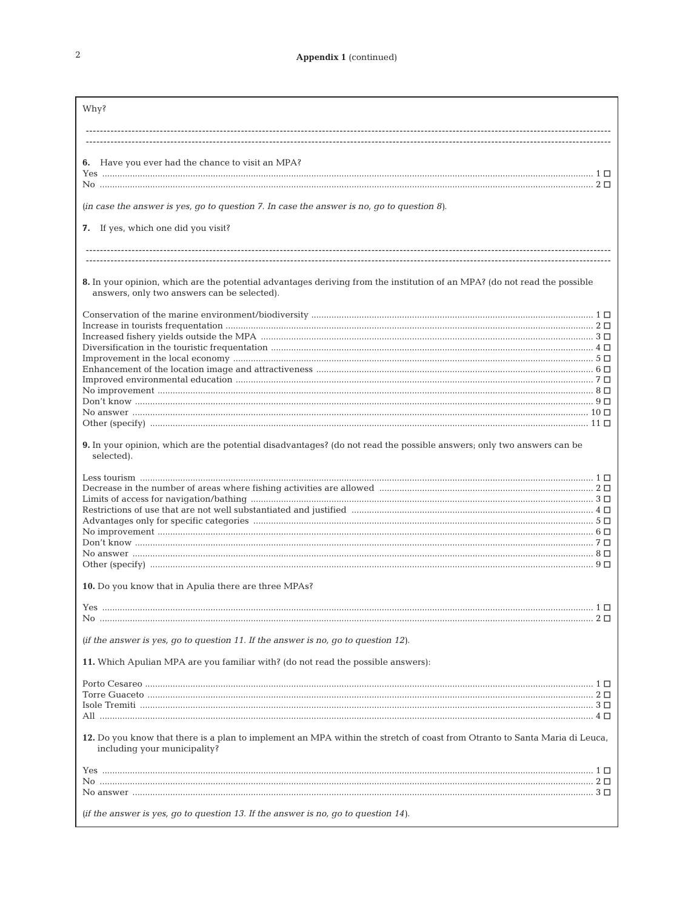| Why?                                                                                                                                                                     |  |
|--------------------------------------------------------------------------------------------------------------------------------------------------------------------------|--|
|                                                                                                                                                                          |  |
| 6. Have you ever had the chance to visit an MPA?                                                                                                                         |  |
|                                                                                                                                                                          |  |
| (in case the answer is yes, go to question $7$ . In case the answer is no, go to question $8$ ).                                                                         |  |
| 7. If yes, which one did you visit?                                                                                                                                      |  |
|                                                                                                                                                                          |  |
| 8. In your opinion, which are the potential advantages deriving from the institution of an MPA? (do not read the possible<br>answers, only two answers can be selected). |  |
| $\label{eq:conservation} {\rm Conservation~of~the~marine~environment/biodiversity~}$                                                                                     |  |
|                                                                                                                                                                          |  |
|                                                                                                                                                                          |  |
|                                                                                                                                                                          |  |
|                                                                                                                                                                          |  |
|                                                                                                                                                                          |  |
|                                                                                                                                                                          |  |
|                                                                                                                                                                          |  |
| 9. In your opinion, which are the potential disadvantages? (do not read the possible answers; only two answers can be<br>selected).                                      |  |
|                                                                                                                                                                          |  |
|                                                                                                                                                                          |  |
|                                                                                                                                                                          |  |
|                                                                                                                                                                          |  |
|                                                                                                                                                                          |  |
|                                                                                                                                                                          |  |
|                                                                                                                                                                          |  |
| 10. Do you know that in Apulia there are three MPAs?                                                                                                                     |  |
|                                                                                                                                                                          |  |
|                                                                                                                                                                          |  |
| (if the answer is yes, go to question 11. If the answer is no, go to question 12).                                                                                       |  |
| 11. Which Apulian MPA are you familiar with? (do not read the possible answers):                                                                                         |  |
|                                                                                                                                                                          |  |
|                                                                                                                                                                          |  |
|                                                                                                                                                                          |  |
| 12. Do you know that there is a plan to implement an MPA within the stretch of coast from Otranto to Santa Maria di Leuca,<br>including your municipality?               |  |
|                                                                                                                                                                          |  |
|                                                                                                                                                                          |  |
|                                                                                                                                                                          |  |
|                                                                                                                                                                          |  |